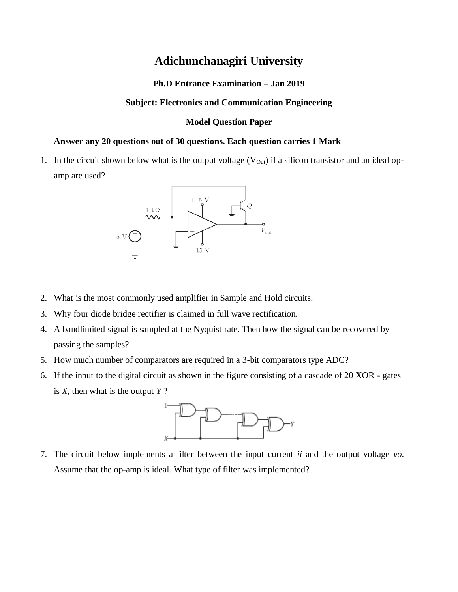# **Adichunchanagiri University**

## **Ph.D Entrance Examination – Jan 2019**

## **Subject: Electronics and Communication Engineering**

#### **Model Question Paper**

# **Answer any 20 questions out of 30 questions. Each question carries 1 Mark**

1. In the circuit shown below what is the output voltage  $(V_{\text{Out}})$  if a silicon transistor and an ideal opamp are used?



- 2. What is the most commonly used amplifier in Sample and Hold circuits.
- 3. Why four diode bridge rectifier is claimed in full wave rectification.
- 4. A bandlimited signal is sampled at the Nyquist rate. Then how the signal can be recovered by passing the samples?
- 5. How much number of comparators are required in a 3-bit comparators type ADC?
- 6. If the input to the digital circuit as shown in the figure consisting of a cascade of 20 XOR gates is *X*, then what is the output *Y* ?



7. The circuit below implements a filter between the input current *ii* and the output voltage *vo*. Assume that the op-amp is ideal. What type of filter was implemented?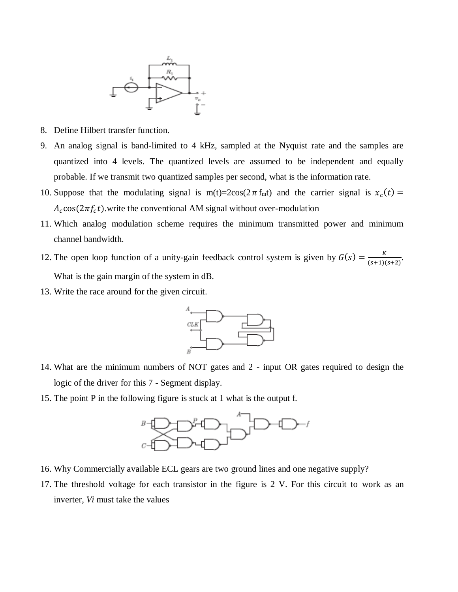

- 8. Define Hilbert transfer function.
- 9. An analog signal is band-limited to 4 kHz, sampled at the Nyquist rate and the samples are quantized into 4 levels. The quantized levels are assumed to be independent and equally probable. If we transmit two quantized samples per second, what is the information rate.
- 10. Suppose that the modulating signal is  $m(t)=2\cos(2\pi f_m t)$  and the carrier signal is  $x_c(t)$  =  $A_c \cos(2\pi f_c t)$  write the conventional AM signal without over-modulation
- 11. Which analog modulation scheme requires the minimum transmitted power and minimum channel bandwidth.
- 12. The open loop function of a unity-gain feedback control system is given by  $G(s) = \frac{K}{(s+d)^2}$  $\frac{\Lambda}{(s+1)(s+2)}$ . What is the gain margin of the system in dB.
- 13. Write the race around for the given circuit.



- 14. What are the minimum numbers of NOT gates and 2 input OR gates required to design the logic of the driver for this 7 - Segment display.
- 15. The point P in the following figure is stuck at 1 what is the output f.



- 16. Why Commercially available ECL gears are two ground lines and one negative supply?
- 17. The threshold voltage for each transistor in the figure is 2 V. For this circuit to work as an inverter, *Vi* must take the values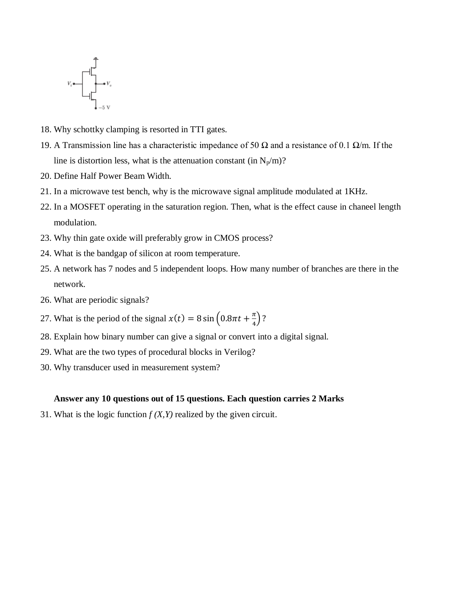

- 18. Why schottky clamping is resorted in TTI gates.
- 19. A Transmission line has a characteristic impedance of 50  $\Omega$  and a resistance of 0.1  $\Omega/m$ . If the line is distortion less, what is the attenuation constant (in  $N_p/m$ )?
- 20. Define Half Power Beam Width.
- 21. In a microwave test bench, why is the microwave signal amplitude modulated at 1KHz.
- 22. In a MOSFET operating in the saturation region. Then, what is the effect cause in chaneel length modulation.
- 23. Why thin gate oxide will preferably grow in CMOS process?
- 24. What is the bandgap of silicon at room temperature.
- 25. A network has 7 nodes and 5 independent loops. How many number of branches are there in the network.
- 26. What are periodic signals?
- 27. What is the period of the signal  $x(t) = 8 \sin \left(0.8 \pi t + \frac{\pi}{4}\right)$  $\frac{\pi}{4}$ )?
- 28. Explain how binary number can give a signal or convert into a digital signal.
- 29. What are the two types of procedural blocks in Verilog?
- 30. Why transducer used in measurement system?

#### **Answer any 10 questions out of 15 questions. Each question carries 2 Marks**

31. What is the logic function  $f(X, Y)$  realized by the given circuit.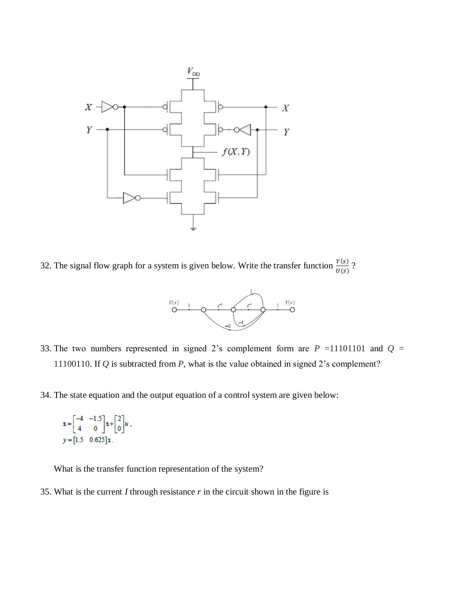

32. The signal flow graph for a system is given below. Write the transfer function  $\frac{Y(s)}{U(s)}$ ?



33. The two numbers represented in signed 2's complement form are  $P = 11101101$  and  $Q =$ 11100110. If *Q* is subtracted from *P*, what is the value obtained in signed 2's complement?

34. The state equation and the output equation of a control system are given below:

$$
\dot{\mathbf{x}} = \begin{bmatrix} -4 & -1.5 \\ 4 & 0 \end{bmatrix} \mathbf{x} + \begin{bmatrix} 2 \\ 0 \end{bmatrix} u,
$$
  
\n
$$
y = \begin{bmatrix} 1.5 & 0.625 \end{bmatrix} \mathbf{x}.
$$

What is the transfer function representation of the system?

35. What is the current *I* through resistance *r* in the circuit shown in the figure is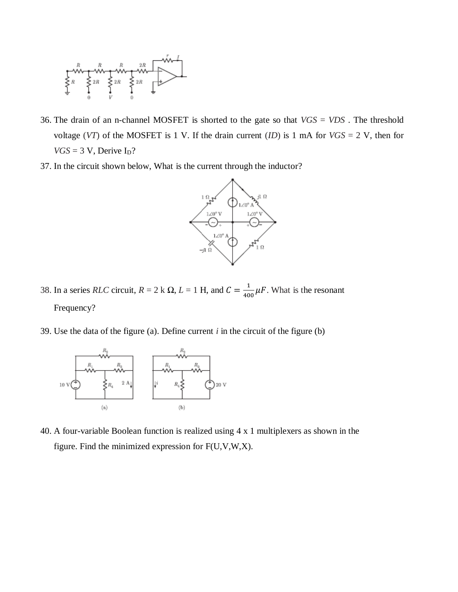

- 36. The drain of an n-channel MOSFET is shorted to the gate so that *VGS* = *VDS* . The threshold voltage (*VT*) of the MOSFET is 1 V. If the drain current (*ID*) is 1 mA for *VGS* = 2 V, then for  $VGS = 3$  V, Derive  $I_D$ ?
- 37. In the circuit shown below, What is the current through the inductor?



- 38. In a series *RLC* circuit,  $R = 2$  k  $\Omega$ ,  $L = 1$  H, and  $C = \frac{1}{10}$  $\frac{1}{400} \mu$ F. What is the resonant Frequency?
- 39. Use the data of the figure (a). Define current *i* in the circuit of the figure (b)



40. A four-variable Boolean function is realized using 4 x 1 multiplexers as shown in the figure. Find the minimized expression for F(U,V,W,X).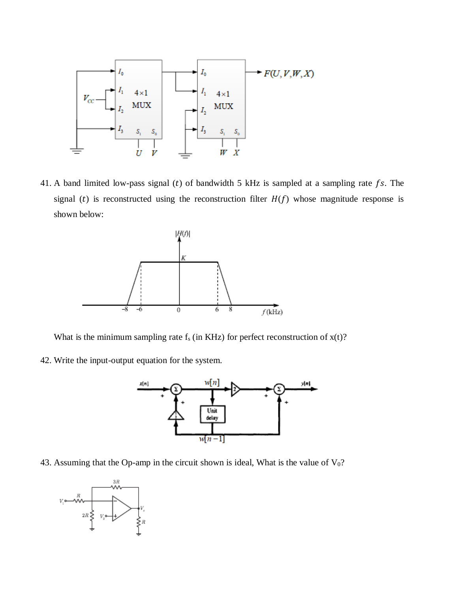

41. A band limited low-pass signal (t) of bandwidth 5 kHz is sampled at a sampling rate  $fs$ . The signal (t) is reconstructed using the reconstruction filter  $H(f)$  whose magnitude response is shown below:



What is the minimum sampling rate  $f_s$  (in KHz) for perfect reconstruction of  $x(t)$ ?

42. Write the input-output equation for the system.



43. Assuming that the Op-amp in the circuit shown is ideal, What is the value of  $V_0$ ?

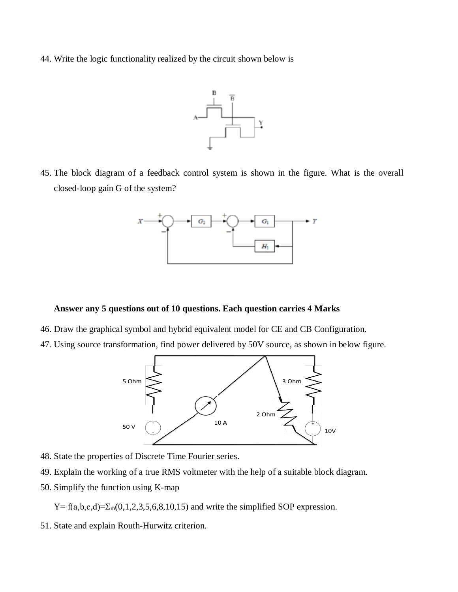44. Write the logic functionality realized by the circuit shown below is



45. The block diagram of a feedback control system is shown in the figure. What is the overall closed-loop gain G of the system?



#### **Answer any 5 questions out of 10 questions. Each question carries 4 Marks**

- 46. Draw the graphical symbol and hybrid equivalent model for CE and CB Configuration.
- 47. Using source transformation, find power delivered by 50V source, as shown in below figure.



- 48. State the properties of Discrete Time Fourier series.
- 49. Explain the working of a true RMS voltmeter with the help of a suitable block diagram.
- 50. Simplify the function using K-map

 $Y=f(a,b,c,d)=\sum_{m}(0,1,2,3,5,6,8,10,15)$  and write the simplified SOP expression.

51. State and explain Routh-Hurwitz criterion.